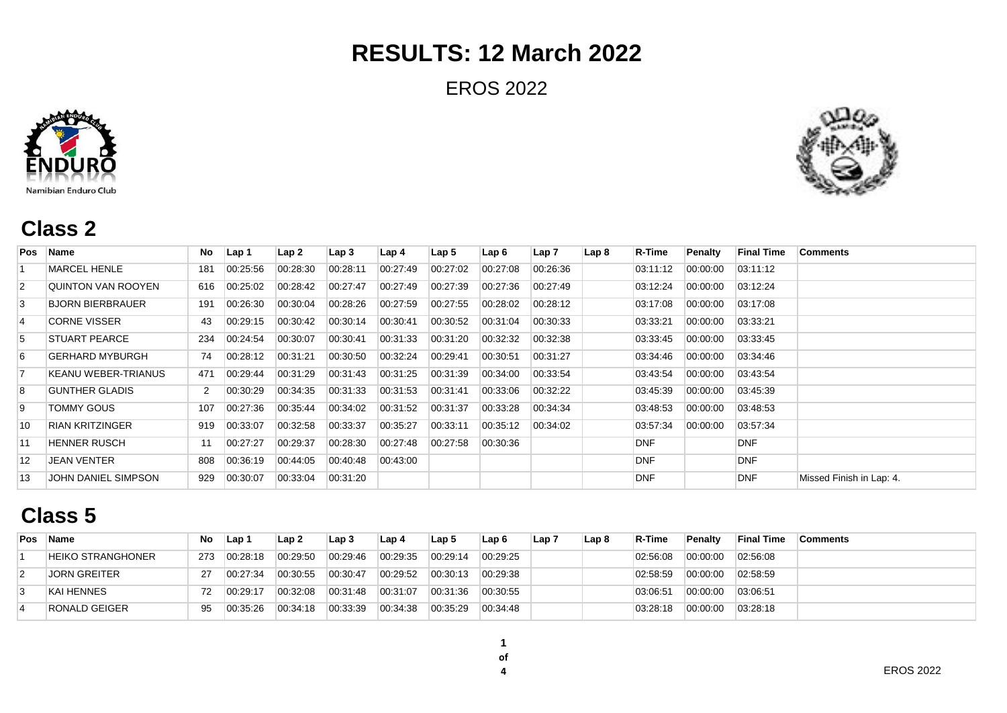EROS 2022





#### **Class 2**

| Pos            | Name                    | No  | Lap 1    | Lap2     | Lap <sub>3</sub> | Lap 4    | Lap 5    | Lap 6    | Lap 7    | Lap <sub>8</sub> | <b>R-Time</b> | Penalty  | <b>Final Time</b> | <b>Comments</b>          |
|----------------|-------------------------|-----|----------|----------|------------------|----------|----------|----------|----------|------------------|---------------|----------|-------------------|--------------------------|
|                | <b>MARCEL HENLE</b>     | 181 | 00:25:56 | 00:28:30 | 00:28:11         | 00:27:49 | 00:27:02 | 00:27:08 | 00:26:36 |                  | 03:11:12      | 00:00:00 | 03:11:12          |                          |
| $\overline{2}$ | QUINTON VAN ROOYEN      | 616 | 00:25:02 | 00:28:42 | 00:27:47         | 00:27:49 | 00:27:39 | 00:27:36 | 00:27:49 |                  | 03:12:24      | 00:00:00 | 03:12:24          |                          |
| 3              | <b>BJORN BIERBRAUER</b> | 191 | 00:26:30 | 00:30:04 | 00:28:26         | 00:27:59 | 00:27:55 | 00:28:02 | 00:28:12 |                  | 03:17:08      | 00:00:00 | 03:17:08          |                          |
| $\overline{4}$ | <b>CORNE VISSER</b>     | 43  | 00:29:15 | 00:30:42 | 00:30:14         | 00:30:41 | 00:30:52 | 00:31:04 | 00:30:33 |                  | 03:33:21      | 00:00:00 | 03:33:21          |                          |
| 5              | <b>STUART PEARCE</b>    | 234 | 00:24:54 | 00:30:07 | 00:30:41         | 00:31:33 | 00:31:20 | 00:32:32 | 00:32:38 |                  | 03:33:45      | 00:00:00 | 03:33:45          |                          |
| 6              | <b>GERHARD MYBURGH</b>  | 74  | 00:28:12 | 00:31:21 | 00:30:50         | 00:32:24 | 00:29:41 | 00:30:51 | 00:31:27 |                  | 03:34:46      | 00:00:00 | 03:34:46          |                          |
| 17             | KEANU WEBER-TRIANUS     | 471 | 00:29:44 | 00:31:29 | 00:31:43         | 00:31:25 | 00:31:39 | 00:34:00 | 00:33:54 |                  | 03:43:54      | 00:00:00 | 03:43:54          |                          |
| 8              | <b>GUNTHER GLADIS</b>   |     | 00:30:29 | 00:34:35 | 00:31:33         | 00:31:53 | 00:31:41 | 00:33:06 | 00:32:22 |                  | 03:45:39      | 00:00:00 | 03.45.39          |                          |
| 9              | TOMMY GOUS              | 107 | 00:27:36 | 00:35:44 | 00:34:02         | 00:31:52 | 00:31:37 | 00:33:28 | 00:34:34 |                  | 03:48:53      | 00:00:00 | 03:48:53          |                          |
| 10             | <b>RIAN KRITZINGER</b>  | 919 | 00:33:07 | 00:32:58 | 00:33:37         | 00:35:27 | 00:33:11 | 00:35:12 | 00:34:02 |                  | 03:57:34      | 00:00:00 | 03:57:34          |                          |
| 11             | <b>HENNER RUSCH</b>     | 11  | 00:27:27 | 00:29:37 | 00:28:30         | 00:27:48 | 00:27:58 | 00:30:36 |          |                  | <b>DNF</b>    |          | <b>DNF</b>        |                          |
| 12             | <b>JEAN VENTER</b>      | 808 | 00:36:19 | 00:44:05 | 00:40:48         | 00:43:00 |          |          |          |                  | <b>DNF</b>    |          | <b>DNF</b>        |                          |
| 13             | JOHN DANIEL SIMPSON     | 929 | 00:30:07 | 00:33:04 | 00:31:20         |          |          |          |          |                  | <b>DNF</b>    |          | <b>DNF</b>        | Missed Finish in Lap: 4. |

### **Class 5**

| Pos | <b>Name</b>              | No. | Lap 1    | Lap 2    | Lap 3    | Lap 4    | Lap <sub>5</sub> | Lap 6    | Lap 7 | Lap <sub>8</sub> | R-Time   | <b>Penalty</b> | <b>Final Time</b> | Comments |
|-----|--------------------------|-----|----------|----------|----------|----------|------------------|----------|-------|------------------|----------|----------------|-------------------|----------|
|     | <b>HEIKO STRANGHONER</b> | 273 | 00:28:18 | 00:29:50 | 00:29:46 | 00:29:35 | 00:29:14         | 00:29:25 |       |                  | 02:56:08 | 00:00:00       | 02:56:08          |          |
|     | <b>JORN GREITER</b>      |     | 00:27:34 | 00:30:55 | 00:30:47 | 00:29:52 | 00:30:13         | 00:29:38 |       |                  | 02:58:59 | 00:00:00       | 02:58:59          |          |
|     | KAI HENNES               | 72  | 00:29:17 | 00:32:08 | 00:31:48 | 00:31:07 | 00:31:36         | 00:30:55 |       |                  | 03.06.51 | 00:00:00       | 03:06:51          |          |
|     | <b>RONALD GEIGER</b>     |     | 00:35:26 | 00:34:18 | 00:33:39 | 00:34:38 | 00:35:29         | 00:34:48 |       |                  | 03.28.18 | 00:00:00       | 03:28:18          |          |

 **of**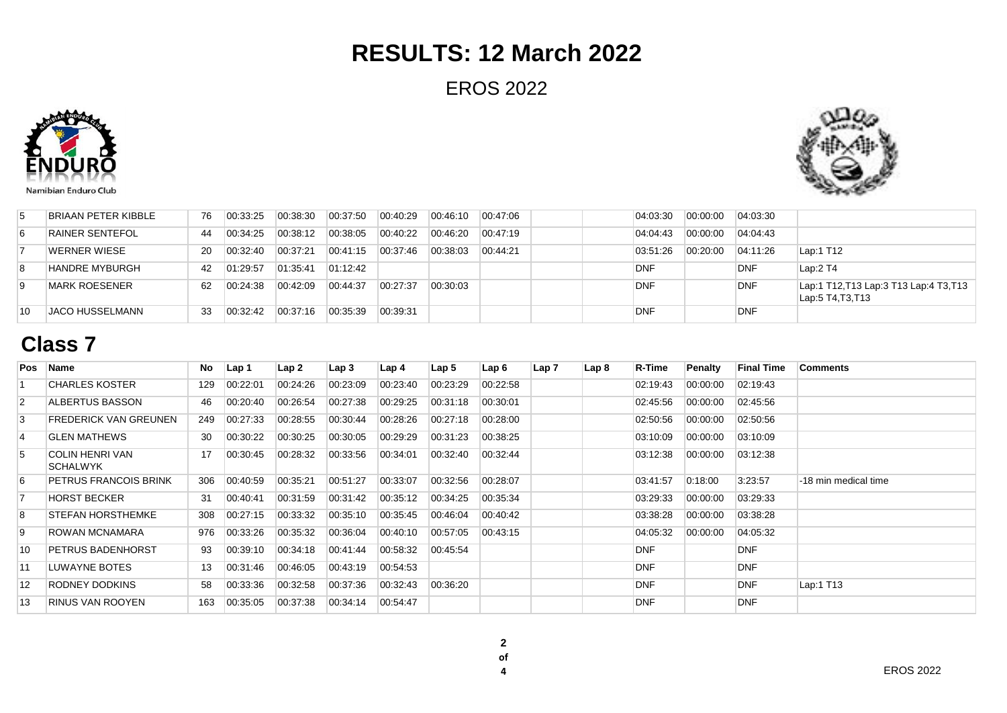EROS 2022





| BRIAAN PETER KIBBLE    | 76 | 00:33:25 | $ 00.38.30\rangle$ | 00:37:50 | 00:40:29 | $\mid$ 00:46:10 | 00:47:06 |  | 04:03:30   | 00:00:00 | 04.03.30   |                                                           |
|------------------------|----|----------|--------------------|----------|----------|-----------------|----------|--|------------|----------|------------|-----------------------------------------------------------|
| RAINER SENTEFOL        | 44 | 00:34:25 | 00:38:12           | 00.38.05 | 00:40:22 | 00:46:20        | 00:47:19 |  | 04:04:43   | 00:00:00 | 04:04:43   |                                                           |
| <b>WERNER WIESE</b>    | 20 | 00:32:40 | 00.37.21           | 00:41:15 | 00.37.46 | 00:38:03        | 00:44:21 |  | 03:51:26   | 00:20:00 | 04:11:26   | Lap:1 T12                                                 |
| <b>HANDRE MYBURGH</b>  | 42 | 01:29:57 | 01:35:41           | 01:12:42 |          |                 |          |  | <b>DNF</b> |          | DNF        | Lap:2 T4                                                  |
| <b>MARK ROESENER</b>   | 62 | 00:24:38 | 00:42:09           | 00:44:37 | 00:27:37 | 00:30:03        |          |  | DNF        |          | <b>DNF</b> | Lap:1 T12, T13 Lap:3 T13 Lap:4 T3, T13<br>Lap:5 T4,T3,T13 |
| <b>JACO HUSSELMANN</b> | 33 | 00:32.42 | 00:37:16           | 00.35.39 | 00:39:31 |                 |          |  | <b>DNF</b> |          | <b>DNF</b> |                                                           |

### **Class 7**

|                | Pos Name                                  | No  | Lap 1    | Lap2     | Lap <sub>3</sub> | Lap 4    | Lap <sub>5</sub> | Lap 6    | Lap 7 | Lap <sub>8</sub> | <b>R-Time</b> | Penalty  | <b>Final Time</b> | <b>Comments</b>      |
|----------------|-------------------------------------------|-----|----------|----------|------------------|----------|------------------|----------|-------|------------------|---------------|----------|-------------------|----------------------|
|                | <b>CHARLES KOSTER</b>                     | 129 | 00:22:01 | 00:24:26 | 00:23:09         | 00:23:40 | 00:23:29         | 00:22:58 |       |                  | 02:19:43      | 00:00:00 | 02:19:43          |                      |
| $\overline{2}$ | ALBERTUS BASSON                           | 46  | 00:20:40 | 00:26:54 | 00:27:38         | 00:29:25 | 00:31:18         | 00:30:01 |       |                  | 02:45:56      | 00:00:00 | 02:45:56          |                      |
| 3              | FREDERICK VAN GREUNEN                     | 249 | 00:27:33 | 00:28:55 | 00:30:44         | 00:28:26 | 00:27:18         | 00:28:00 |       |                  | 02:50:56      | 00:00:00 | 02:50:56          |                      |
| $\overline{4}$ | <b>GLEN MATHEWS</b>                       | 30  | 00:30:22 | 00:30:25 | 00:30:05         | 00:29:29 | 00:31:23         | 00:38:25 |       |                  | 03:10:09      | 00:00:00 | 03:10:09          |                      |
| 5              | <b>COLIN HENRI VAN</b><br><b>SCHALWYK</b> | 17  | 00:30:45 | 00:28:32 | 00:33:56         | 00:34:01 | 00:32:40         | 00:32:44 |       |                  | 03:12:38      | 00:00:00 | 03:12:38          |                      |
| 6              | PETRUS FRANCOIS BRINK                     | 306 | 00.40.59 | 00:35:21 | 00:51:27         | 00:33:07 | 00:32:56         | 00:28:07 |       |                  | 03:41:57      | 0:18:00  | 3:23:57           | -18 min medical time |
|                | <b>HORST BECKER</b>                       | 31  | 00:40:41 | 00:31:59 | 00:31:42         | 00:35:12 | 00:34:25         | 00:35:34 |       |                  | 03:29:33      | 00:00:00 | 03:29:33          |                      |
| 8              | <b>STEFAN HORSTHEMKE</b>                  | 308 | 00:27:15 | 00:33:32 | 00:35:10         | 00:35:45 | 00:46:04         | 00:40:42 |       |                  | 03:38:28      | 00:00:00 | 03:38:28          |                      |
| 9              | ROWAN MCNAMARA                            | 976 | 00:33:26 | 00:35:32 | 00:36:04         | 00:40:10 | 00:57:05         | 00:43:15 |       |                  | 04:05:32      | 00:00:00 | 04:05:32          |                      |
| 10             | <b>PETRUS BADENHORST</b>                  | 93  | 00:39:10 | 00:34:18 | 00:41:44         | 00:58:32 | 00:45:54         |          |       |                  | <b>DNF</b>    |          | <b>DNF</b>        |                      |
| 11             | LUWAYNE BOTES                             | 13  | 00:31:46 | 00:46:05 | 00:43:19         | 00:54:53 |                  |          |       |                  | <b>DNF</b>    |          | <b>DNF</b>        |                      |
| 12             | RODNEY DODKINS                            | 58  | 00:33:36 | 00:32:58 | 00:37:36         | 00:32:43 | 00:36:20         |          |       |                  | <b>DNF</b>    |          | <b>DNF</b>        | Lap:1 T13            |
| 13             | <b>RINUS VAN ROOYEN</b>                   | 163 | 00:35:05 | 00:37:38 | 00:34:14         | 00:54:47 |                  |          |       |                  | <b>DNF</b>    |          | <b>DNF</b>        |                      |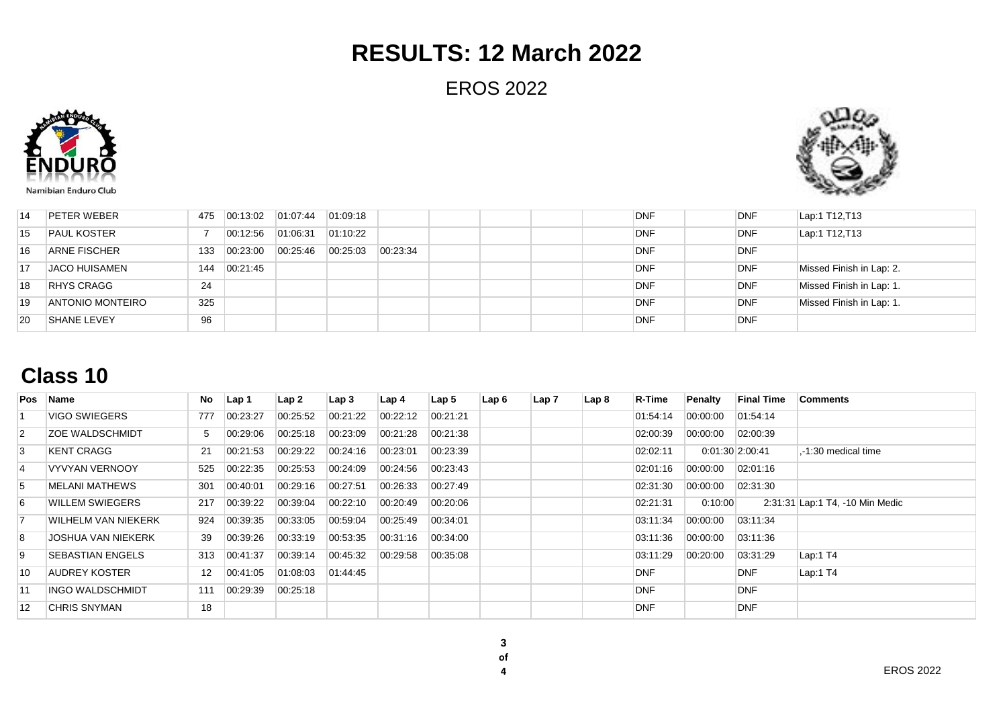EROS 2022





| 14              | <b>PETER WEBER</b>      | 475 | 00:13:02 | 01:07:44 | 01:09:18 |          |  |  | <b>DNF</b> | <b>DNF</b> | Lap:1 T12, T13           |
|-----------------|-------------------------|-----|----------|----------|----------|----------|--|--|------------|------------|--------------------------|
| 15              | <b>PAUL KOSTER</b>      |     | 00:12:56 | 01:06:31 | 01:10:22 |          |  |  | <b>DNF</b> | <b>DNF</b> | Lap:1 T12, T13           |
| 16              | <b>ARNE FISCHER</b>     | 133 | 00:23:00 | 00:25:46 | 00:25:03 | 00:23:34 |  |  | <b>DNF</b> | DNF        |                          |
| $\overline{17}$ | <b>JACO HUISAMEN</b>    | 144 | 00:21:45 |          |          |          |  |  | <b>DNF</b> | DNF        | Missed Finish in Lap: 2. |
| 18              | <b>RHYS CRAGG</b>       | 24  |          |          |          |          |  |  | <b>DNF</b> | <b>DNF</b> | Missed Finish in Lap: 1. |
| 19              | <b>ANTONIO MONTEIRO</b> | 325 |          |          |          |          |  |  | <b>DNF</b> | DNF        | Missed Finish in Lap: 1. |
| 20              | <b>SHANE LEVEY</b>      | 96  |          |          |          |          |  |  | <b>DNF</b> | <b>DNF</b> |                          |

### **Class 10**

|                | Pos Name                  | No                | Lap 1    | Lap2     | Lap3     | Lap 4    | Lap 5    | Lap 6 | Lap 7 | Lap <sub>8</sub> | R-Time     | Penalty            | <b>Final Time</b> | Comments                        |
|----------------|---------------------------|-------------------|----------|----------|----------|----------|----------|-------|-------|------------------|------------|--------------------|-------------------|---------------------------------|
|                | VIGO SWIEGERS             | 777               | 00:23:27 | 00:25:52 | 00:21:22 | 00:22:12 | 00:21:21 |       |       |                  | 01:54:14   | 00:00:00           | 01:54:14          |                                 |
| $\overline{2}$ | <b>ZOE WALDSCHMIDT</b>    | 5                 | 00:29:06 | 00:25:18 | 00:23:09 | 00:21:28 | 00:21:38 |       |       |                  | 02:00:39   | 00:00:00           | 02:00:39          |                                 |
| 3              | <b>KENT CRAGG</b>         | 21                | 00:21:53 | 00:29:22 | 00:24:16 | 00:23:01 | 00:23:39 |       |       |                  | 02:02:11   | $0:01:30$  2:00:41 |                   | .-1:30 medical time             |
| $\overline{4}$ | <b>VYVYAN VERNOOY</b>     | 525               | 00:22:35 | 00:25:53 | 00:24:09 | 00:24:56 | 00:23:43 |       |       |                  | 02:01:16   | 00:00:00           | 02:01:16          |                                 |
| 5              | <b>MELANI MATHEWS</b>     | 301               | 00:40:01 | 00:29:16 | 00:27:51 | 00:26:33 | 00:27:49 |       |       |                  | 02:31:30   | 00:00:00           | 02:31:30          |                                 |
| 6              | WILLEM SWIEGERS           | 217               | 00:39:22 | 00:39:04 | 00:22:10 | 00:20:49 | 00:20:06 |       |       |                  | 02:21:31   | 0:10:00            |                   | 2:31:31 Lap:1 T4, -10 Min Medic |
| $\overline{7}$ | WILHELM VAN NIEKERK       | 924               | 00:39:35 | 00:33:05 | 00:59:04 | 00:25:49 | 00:34:01 |       |       |                  | 03:11:34   | 00:00:00           | 03:11:34          |                                 |
| 8              | <b>JOSHUA VAN NIEKERK</b> | 39                | 00:39:26 | 00:33:19 | 00:53:35 | 00:31:16 | 00:34:00 |       |       |                  | 03:11:36   | 00:00:00           | 03:11:36          |                                 |
| 9              | <b>SEBASTIAN ENGELS</b>   | 313               | 00:41:37 | 00:39:14 | 00:45:32 | 00:29:58 | 00:35:08 |       |       |                  | 03:11:29   | 00:20:00           | 03:31:29          | Lap:1 $T4$                      |
| 10             | AUDREY KOSTER             | $12 \overline{ }$ | 00:41:05 | 01:08:03 | 01:44:45 |          |          |       |       |                  | <b>DNF</b> |                    | <b>DNF</b>        | Lap:1 T4                        |
| 11             | INGO WALDSCHMIDT          | 111               | 00:29:39 | 00:25:18 |          |          |          |       |       |                  | <b>DNF</b> |                    | <b>DNF</b>        |                                 |
| 12             | CHRIS SNYMAN              | 18                |          |          |          |          |          |       |       |                  | <b>DNF</b> |                    | <b>DNF</b>        |                                 |